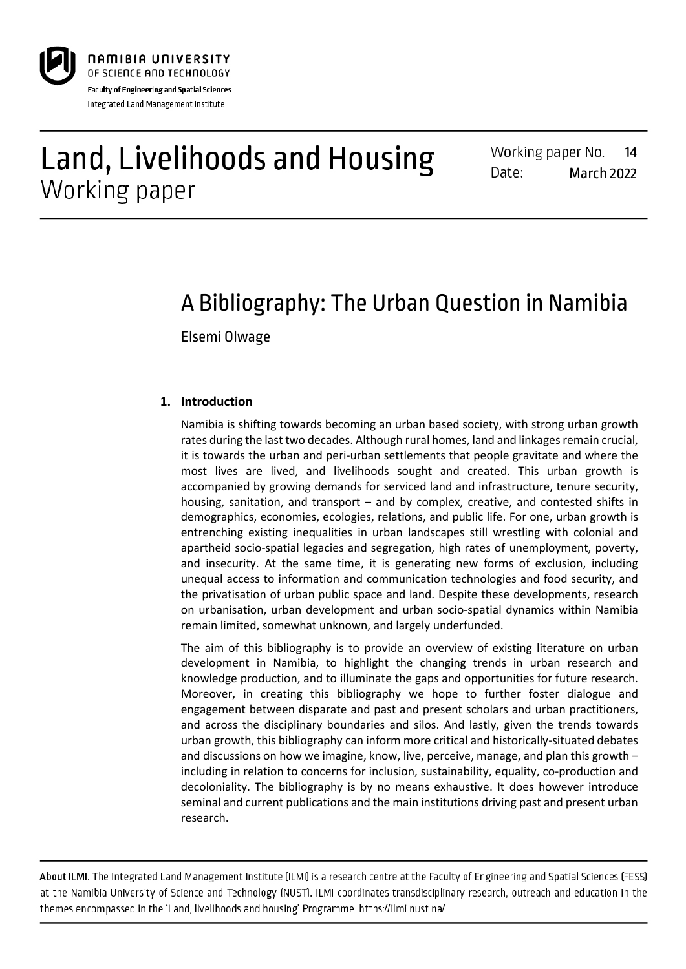

# Land, Livelihoods and Housing Working paper

Working paper No. 14 Date: March 2022

# A Bibliography: The Urban Question in Namibia

Elsemi Olwage

# **1. Introduction**

Namibia is shifting towards becoming an urban based society, with strong urban growth rates during the last two decades. Although rural homes, land and linkages remain crucial, it is towards the urban and peri-urban settlements that people gravitate and where the most lives are lived, and livelihoods sought and created. This urban growth is accompanied by growing demands for serviced land and infrastructure, tenure security, housing, sanitation, and transport – and by complex, creative, and contested shifts in demographics, economies, ecologies, relations, and public life. For one, urban growth is entrenching existing inequalities in urban landscapes still wrestling with colonial and apartheid socio-spatial legacies and segregation, high rates of unemployment, poverty, and insecurity. At the same time, it is generating new forms of exclusion, including unequal access to information and communication technologies and food security, and the privatisation of urban public space and land. Despite these developments, research on urbanisation, urban development and urban socio-spatial dynamics within Namibia remain limited, somewhat unknown, and largely underfunded.

The aim of this bibliography is to provide an overview of existing literature on urban development in Namibia, to highlight the changing trends in urban research and knowledge production, and to illuminate the gaps and opportunities for future research. Moreover, in creating this bibliography we hope to further foster dialogue and engagement between disparate and past and present scholars and urban practitioners, and across the disciplinary boundaries and silos. And lastly, given the trends towards urban growth, this bibliography can inform more critical and historically-situated debates and discussions on how we imagine, know, live, perceive, manage, and plan this growth – including in relation to concerns for inclusion, sustainability, equality, co-production and decoloniality. The bibliography is by no means exhaustive. It does however introduce seminal and current publications and the main institutions driving past and present urban research.

About ILMI. The Integrated Land Management Institute (ILMI) is a research centre at the Faculty of Engineering and Spatial Sciences (FESS) at the Namibia University of Science and Technology (NUST). ILMI coordinates transdisciplinary research, outreach and education in the themes encompassed in the 'Land, livelihoods and housing' Programme. https://ilmi.nust.na/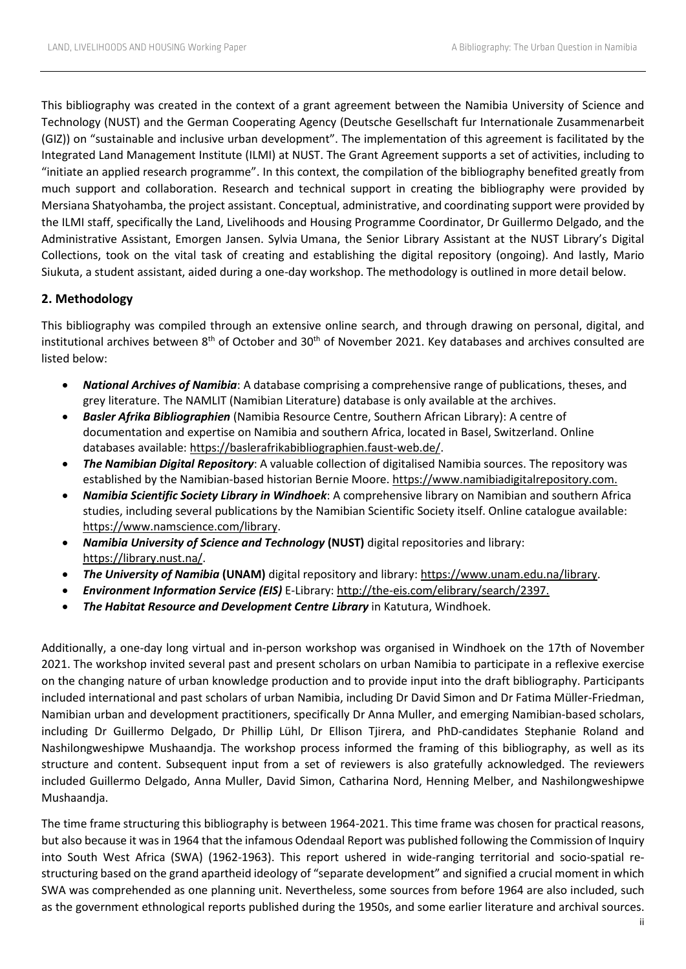This bibliography was created in the context of a grant agreement between the Namibia University of Science and Technology (NUST) and the German Cooperating Agency (Deutsche Gesellschaft fur Internationale Zusammenarbeit (GIZ)) on "sustainable and inclusive urban development". The implementation of this agreement is facilitated by the Integrated Land Management Institute (ILMI) at NUST. The Grant Agreement supports a set of activities, including to "initiate an applied research programme". In this context, the compilation of the bibliography benefited greatly from much support and collaboration. Research and technical support in creating the bibliography were provided by Mersiana Shatyohamba, the project assistant. Conceptual, administrative, and coordinating support were provided by the ILMI staff, specifically the Land, Livelihoods and Housing Programme Coordinator, Dr Guillermo Delgado, and the Administrative Assistant, Emorgen Jansen. Sylvia Umana, the Senior Library Assistant at the NUST Library's Digital Collections, took on the vital task of creating and establishing the digital repository (ongoing). And lastly, Mario Siukuta, a student assistant, aided during a one-day workshop. The methodology is outlined in more detail below.

## **2. Methodology**

This bibliography was compiled through an extensive online search, and through drawing on personal, digital, and institutional archives between 8<sup>th</sup> of October and 30<sup>th</sup> of November 2021. Key databases and archives consulted are listed below:

- *National Archives of Namibia*: A database comprising a comprehensive range of publications, theses, and grey literature. The NAMLIT (Namibian Literature) database is only available at the archives.
- *Basler Afrika Bibliographien* (Namibia Resource Centre, Southern African Library): A centre of documentation and expertise on Namibia and southern Africa, located in Basel, Switzerland. Online databases available[: https://baslerafrikabibliographien.faust-web.de/.](https://baslerafrikabibliographien.faust-web.de/)
- *The Namibian Digital Repository*: A valuable collection of digitalised Namibia sources. The repository was established by the Namibian-based historian Bernie Moore. [https://www.namibiadigitalrepository.com.](https://www.namibiadigitalrepository.com/)
- *Namibia Scientific Society Library in Windhoek*: A comprehensive library on Namibian and southern Africa studies, including several publications by the Namibian Scientific Society itself. Online catalogue available: [https://www.namscience.com/library.](https://www.namscience.com/library)
- *Namibia University of Science and Technology* **(NUST)** digital repositories and library: [https://library.nust.na/.](https://library.nust.na/)
- *The University of Namibia* **(UNAM)** digital repository and library: [https://www.unam.edu.na/library.](https://www.unam.edu.na/library)
- *Environment Information Service (EIS)* E-Library: [http://the-eis.com/elibrary/search/2397.](http://the-eis.com/elibrary/search/2397)
- *The Habitat Resource and Development Centre Library* in Katutura, Windhoek.

Additionally, a one-day long virtual and in-person workshop was organised in Windhoek on the 17th of November 2021. The workshop invited several past and present scholars on urban Namibia to participate in a reflexive exercise on the changing nature of urban knowledge production and to provide input into the draft bibliography. Participants included international and past scholars of urban Namibia, including Dr David Simon and Dr Fatima Müller-Friedman, Namibian urban and development practitioners, specifically Dr Anna Muller, and emerging Namibian-based scholars, including Dr Guillermo Delgado, Dr Phillip Lühl, Dr Ellison Tjirera, and PhD-candidates Stephanie Roland and Nashilongweshipwe Mushaandja. The workshop process informed the framing of this bibliography, as well as its structure and content. Subsequent input from a set of reviewers is also gratefully acknowledged. The reviewers included Guillermo Delgado, Anna Muller, David Simon, Catharina Nord, Henning Melber, and Nashilongweshipwe Mushaandja.

The time frame structuring this bibliography is between 1964-2021. This time frame was chosen for practical reasons, but also because it was in 1964 that the infamous Odendaal Report was published following the Commission of Inquiry into South West Africa (SWA) (1962-1963). This report ushered in wide-ranging territorial and socio-spatial restructuring based on the grand apartheid ideology of "separate development" and signified a crucial moment in which SWA was comprehended as one planning unit. Nevertheless, some sources from before 1964 are also included, such as the government ethnological reports published during the 1950s, and some earlier literature and archival sources.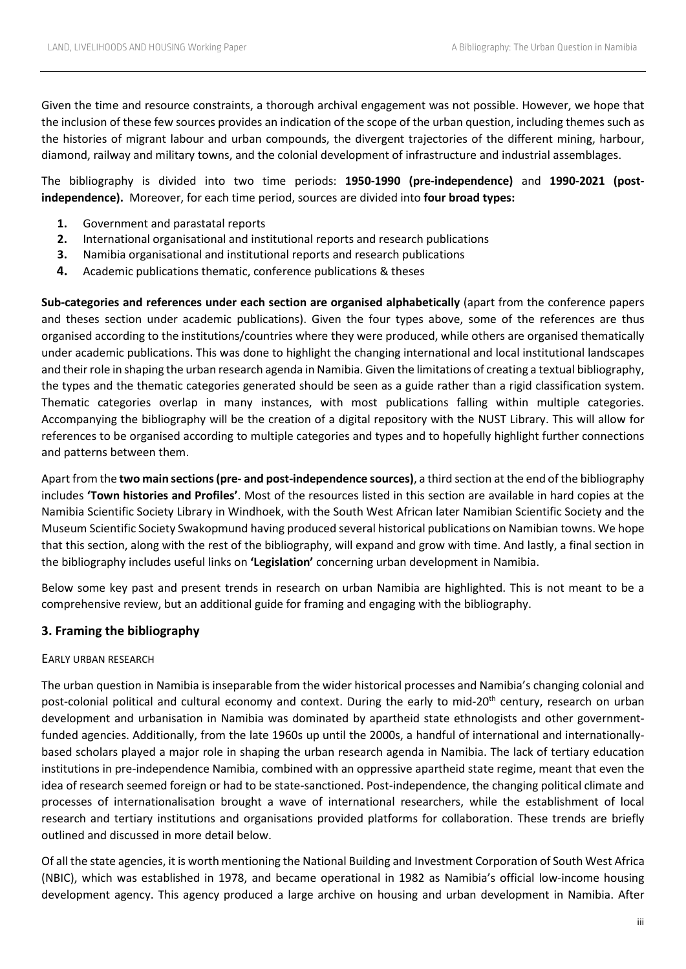Given the time and resource constraints, a thorough archival engagement was not possible. However, we hope that the inclusion of these few sources provides an indication of the scope of the urban question, including themes such as the histories of migrant labour and urban compounds, the divergent trajectories of the different mining, harbour, diamond, railway and military towns, and the colonial development of infrastructure and industrial assemblages.

The bibliography is divided into two time periods: **1950-1990 (pre-independence)** and **1990-2021 (postindependence).** Moreover, for each time period, sources are divided into **four broad types:** 

- **1.** Government and parastatal reports
- **2.** International organisational and institutional reports and research publications
- **3.** Namibia organisational and institutional reports and research publications
- **4.** Academic publications thematic, conference publications & theses

**Sub-categories and references under each section are organised alphabetically** (apart from the conference papers and theses section under academic publications). Given the four types above, some of the references are thus organised according to the institutions/countries where they were produced, while others are organised thematically under academic publications. This was done to highlight the changing international and local institutional landscapes and their role in shaping the urban research agenda in Namibia. Given the limitations of creating a textual bibliography, the types and the thematic categories generated should be seen as a guide rather than a rigid classification system. Thematic categories overlap in many instances, with most publications falling within multiple categories. Accompanying the bibliography will be the creation of a digital repository with the NUST Library. This will allow for references to be organised according to multiple categories and types and to hopefully highlight further connections and patterns between them.

Apart from the **two main sections (pre- and post-independence sources)**, a third section at the end of the bibliography includes **'Town histories and Profiles'**. Most of the resources listed in this section are available in hard copies at the Namibia Scientific Society Library in Windhoek, with the South West African later Namibian Scientific Society and the Museum Scientific Society Swakopmund having produced several historical publications on Namibian towns. We hope that this section, along with the rest of the bibliography, will expand and grow with time. And lastly, a final section in the bibliography includes useful links on **'Legislation'** concerning urban development in Namibia.

Below some key past and present trends in research on urban Namibia are highlighted. This is not meant to be a comprehensive review, but an additional guide for framing and engaging with the bibliography.

# **3. Framing the bibliography**

### EARLY URBAN RESEARCH

The urban question in Namibia is inseparable from the wider historical processes and Namibia's changing colonial and post-colonial political and cultural economy and context. During the early to mid-20<sup>th</sup> century, research on urban development and urbanisation in Namibia was dominated by apartheid state ethnologists and other governmentfunded agencies. Additionally, from the late 1960s up until the 2000s, a handful of international and internationallybased scholars played a major role in shaping the urban research agenda in Namibia. The lack of tertiary education institutions in pre-independence Namibia, combined with an oppressive apartheid state regime, meant that even the idea of research seemed foreign or had to be state-sanctioned. Post-independence, the changing political climate and processes of internationalisation brought a wave of international researchers, while the establishment of local research and tertiary institutions and organisations provided platforms for collaboration. These trends are briefly outlined and discussed in more detail below.

Of all the state agencies, it is worth mentioning the National Building and Investment Corporation of South West Africa (NBIC), which was established in 1978, and became operational in 1982 as Namibia's official low-income housing development agency. This agency produced a large archive on housing and urban development in Namibia. After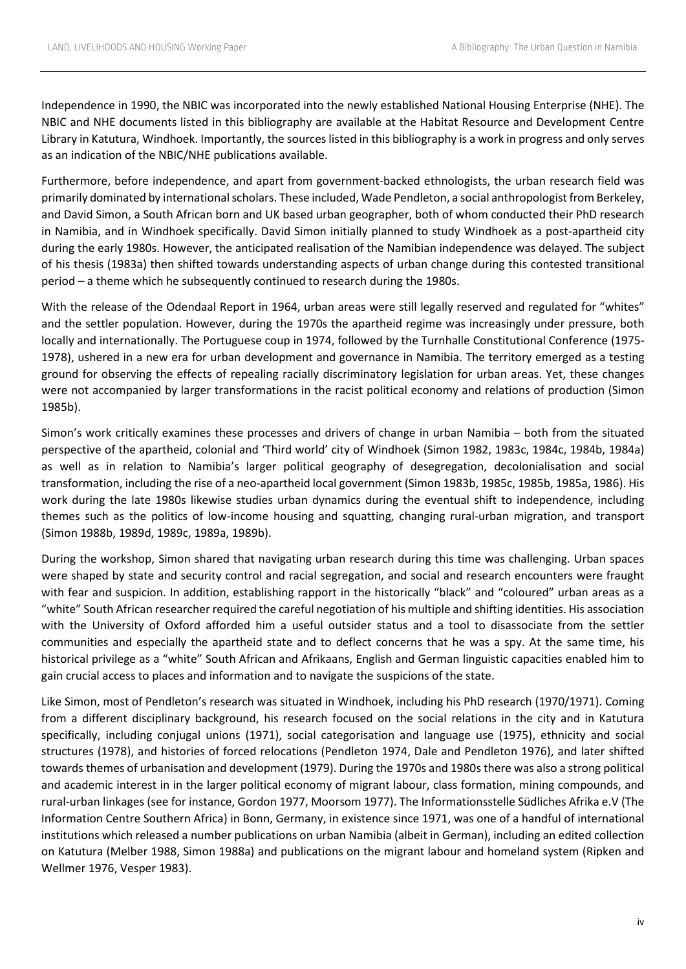Independence in 1990, the NBIC was incorporated into the newly established National Housing Enterprise (NHE). The NBIC and NHE documents listed in this bibliography are available at the Habitat Resource and Development Centre Library in Katutura, Windhoek. Importantly, the sources listed in this bibliography is a work in progress and only serves as an indication of the NBIC/NHE publications available.

Furthermore, before independence, and apart from government-backed ethnologists, the urban research field was primarily dominated by international scholars. These included, Wade Pendleton, a social anthropologist from Berkeley, and David Simon, a South African born and UK based urban geographer, both of whom conducted their PhD research in Namibia, and in Windhoek specifically. David Simon initially planned to study Windhoek as a post-apartheid city during the early 1980s. However, the anticipated realisation of the Namibian independence was delayed. The subject of his thesis (1983a) then shifted towards understanding aspects of urban change during this contested transitional period – a theme which he subsequently continued to research during the 1980s.

With the release of the Odendaal Report in 1964, urban areas were still legally reserved and regulated for "whites" and the settler population. However, during the 1970s the apartheid regime was increasingly under pressure, both locally and internationally. The Portuguese coup in 1974, followed by the Turnhalle Constitutional Conference (1975- 1978), ushered in a new era for urban development and governance in Namibia. The territory emerged as a testing ground for observing the effects of repealing racially discriminatory legislation for urban areas. Yet, these changes were not accompanied by larger transformations in the racist political economy and relations of production (Simon 1985b).

Simon's work critically examines these processes and drivers of change in urban Namibia – both from the situated perspective of the apartheid, colonial and 'Third world' city of Windhoek (Simon 1982, 1983c, 1984c, 1984b, 1984a) as well as in relation to Namibia's larger political geography of desegregation, decolonialisation and social transformation, including the rise of a neo-apartheid local government (Simon 1983b, 1985c, 1985b, 1985a, 1986). His work during the late 1980s likewise studies urban dynamics during the eventual shift to independence, including themes such as the politics of low-income housing and squatting, changing rural-urban migration, and transport (Simon 1988b, 1989d, 1989c, 1989a, 1989b).

During the workshop, Simon shared that navigating urban research during this time was challenging. Urban spaces were shaped by state and security control and racial segregation, and social and research encounters were fraught with fear and suspicion. In addition, establishing rapport in the historically "black" and "coloured" urban areas as a "white" South African researcher required the careful negotiation of his multiple and shifting identities. His association with the University of Oxford afforded him a useful outsider status and a tool to disassociate from the settler communities and especially the apartheid state and to deflect concerns that he was a spy. At the same time, his historical privilege as a "white" South African and Afrikaans, English and German linguistic capacities enabled him to gain crucial access to places and information and to navigate the suspicions of the state.

Like Simon, most of Pendleton's research was situated in Windhoek, including his PhD research (1970/1971). Coming from a different disciplinary background, his research focused on the social relations in the city and in Katutura specifically, including conjugal unions (1971), social categorisation and language use (1975), ethnicity and social structures (1978), and histories of forced relocations (Pendleton 1974, Dale and Pendleton 1976), and later shifted towards themes of urbanisation and development (1979). During the 1970s and 1980s there was also a strong political and academic interest in in the larger political economy of migrant labour, class formation, mining compounds, and rural-urban linkages (see for instance, Gordon 1977, Moorsom 1977). The Informationsstelle Südliches Afrika e.V (The Information Centre Southern Africa) in Bonn, Germany, in existence since 1971, was one of a handful of international institutions which released a number publications on urban Namibia (albeit in German), including an edited collection on Katutura (Melber 1988, Simon 1988a) and publications on the migrant labour and homeland system (Ripken and Wellmer 1976, Vesper 1983).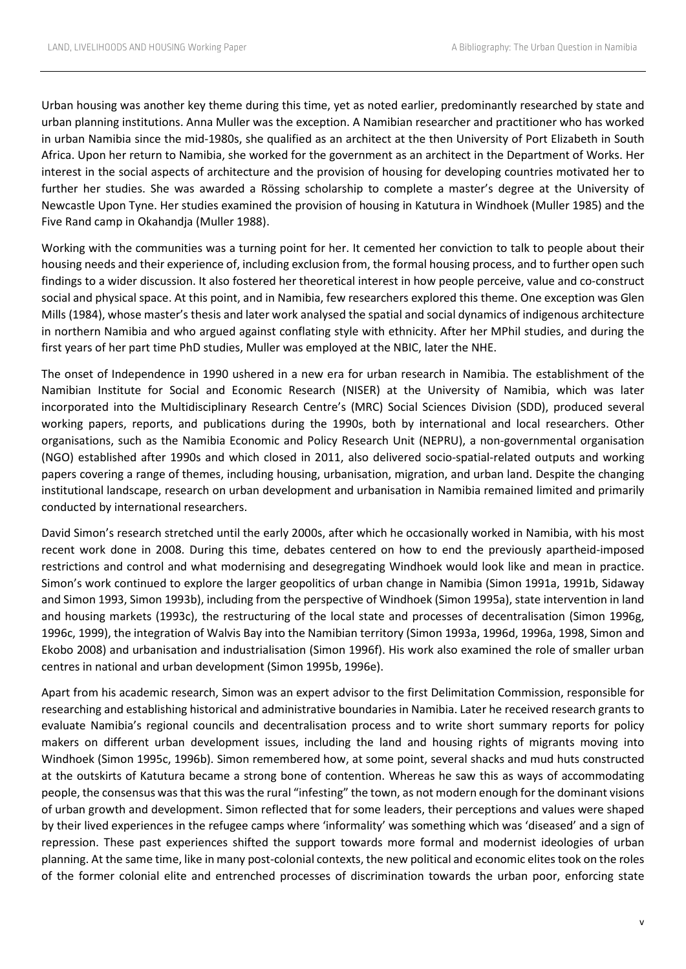Urban housing was another key theme during this time, yet as noted earlier, predominantly researched by state and urban planning institutions. Anna Muller was the exception. A Namibian researcher and practitioner who has worked in urban Namibia since the mid-1980s, she qualified as an architect at the then University of Port Elizabeth in South Africa. Upon her return to Namibia, she worked for the government as an architect in the Department of Works. Her interest in the social aspects of architecture and the provision of housing for developing countries motivated her to further her studies. She was awarded a Rössing scholarship to complete a master's degree at the University of Newcastle Upon Tyne. Her studies examined the provision of housing in Katutura in Windhoek (Muller 1985) and the Five Rand camp in Okahandja (Muller 1988).

Working with the communities was a turning point for her. It cemented her conviction to talk to people about their housing needs and their experience of, including exclusion from, the formal housing process, and to further open such findings to a wider discussion. It also fostered her theoretical interest in how people perceive, value and co-construct social and physical space. At this point, and in Namibia, few researchers explored this theme. One exception was Glen Mills (1984), whose master's thesis and later work analysed the spatial and social dynamics of indigenous architecture in northern Namibia and who argued against conflating style with ethnicity. After her MPhil studies, and during the first years of her part time PhD studies, Muller was employed at the NBIC, later the NHE.

The onset of Independence in 1990 ushered in a new era for urban research in Namibia. The establishment of the Namibian Institute for Social and Economic Research (NISER) at the University of Namibia, which was later incorporated into the Multidisciplinary Research Centre's (MRC) Social Sciences Division (SDD), produced several working papers, reports, and publications during the 1990s, both by international and local researchers. Other organisations, such as the Namibia Economic and Policy Research Unit (NEPRU), a non-governmental organisation (NGO) established after 1990s and which closed in 2011, also delivered socio-spatial-related outputs and working papers covering a range of themes, including housing, urbanisation, migration, and urban land. Despite the changing institutional landscape, research on urban development and urbanisation in Namibia remained limited and primarily conducted by international researchers.

David Simon's research stretched until the early 2000s, after which he occasionally worked in Namibia, with his most recent work done in 2008. During this time, debates centered on how to end the previously apartheid-imposed restrictions and control and what modernising and desegregating Windhoek would look like and mean in practice. Simon's work continued to explore the larger geopolitics of urban change in Namibia (Simon 1991a, 1991b, Sidaway and Simon 1993, Simon 1993b), including from the perspective of Windhoek (Simon 1995a), state intervention in land and housing markets (1993c), the restructuring of the local state and processes of decentralisation (Simon 1996g, 1996c, 1999), the integration of Walvis Bay into the Namibian territory (Simon 1993a, 1996d, 1996a, 1998, Simon and Ekobo 2008) and urbanisation and industrialisation (Simon 1996f). His work also examined the role of smaller urban centres in national and urban development (Simon 1995b, 1996e).

Apart from his academic research, Simon was an expert advisor to the first Delimitation Commission, responsible for researching and establishing historical and administrative boundaries in Namibia. Later he received research grants to evaluate Namibia's regional councils and decentralisation process and to write short summary reports for policy makers on different urban development issues, including the land and housing rights of migrants moving into Windhoek (Simon 1995c, 1996b). Simon remembered how, at some point, several shacks and mud huts constructed at the outskirts of Katutura became a strong bone of contention. Whereas he saw this as ways of accommodating people, the consensus was that this was the rural "infesting" the town, as not modern enough for the dominant visions of urban growth and development. Simon reflected that for some leaders, their perceptions and values were shaped by their lived experiences in the refugee camps where 'informality' was something which was 'diseased' and a sign of repression. These past experiences shifted the support towards more formal and modernist ideologies of urban planning. At the same time, like in many post-colonial contexts, the new political and economic elites took on the roles of the former colonial elite and entrenched processes of discrimination towards the urban poor, enforcing state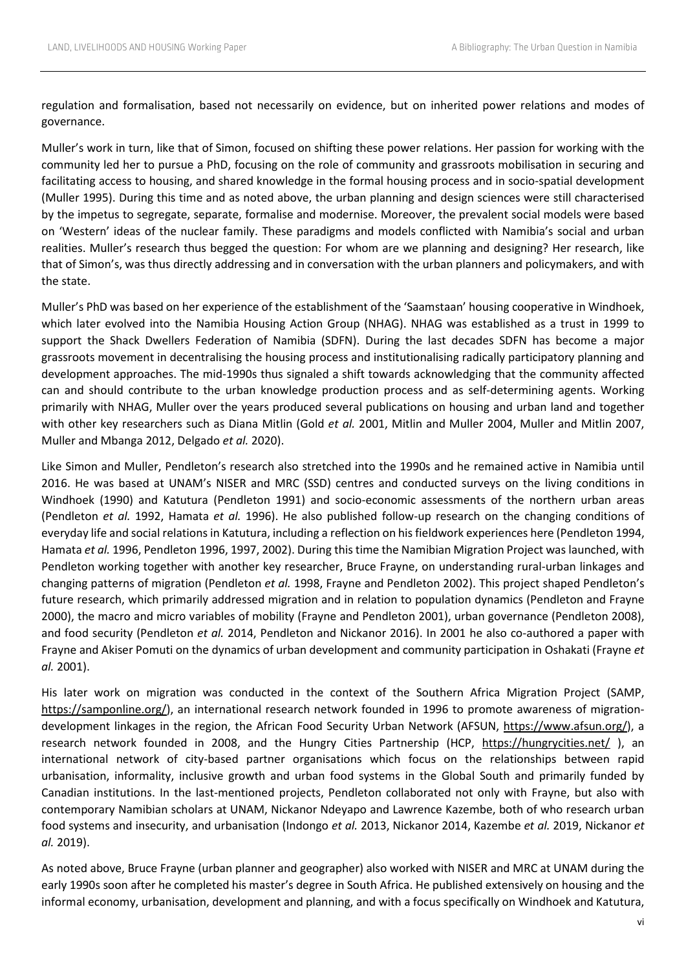regulation and formalisation, based not necessarily on evidence, but on inherited power relations and modes of governance.

Muller's work in turn, like that of Simon, focused on shifting these power relations. Her passion for working with the community led her to pursue a PhD, focusing on the role of community and grassroots mobilisation in securing and facilitating access to housing, and shared knowledge in the formal housing process and in socio-spatial development (Muller 1995). During this time and as noted above, the urban planning and design sciences were still characterised by the impetus to segregate, separate, formalise and modernise. Moreover, the prevalent social models were based on 'Western' ideas of the nuclear family. These paradigms and models conflicted with Namibia's social and urban realities. Muller's research thus begged the question: For whom are we planning and designing? Her research, like that of Simon's, was thus directly addressing and in conversation with the urban planners and policymakers, and with the state.

Muller's PhD was based on her experience of the establishment of the 'Saamstaan' housing cooperative in Windhoek, which later evolved into the Namibia Housing Action Group (NHAG). NHAG was established as a trust in 1999 to support the Shack Dwellers Federation of Namibia (SDFN). During the last decades SDFN has become a major grassroots movement in decentralising the housing process and institutionalising radically participatory planning and development approaches. The mid-1990s thus signaled a shift towards acknowledging that the community affected can and should contribute to the urban knowledge production process and as self-determining agents. Working primarily with NHAG, Muller over the years produced several publications on housing and urban land and together with other key researchers such as Diana Mitlin (Gold *et al.* 2001, Mitlin and Muller 2004, Muller and Mitlin 2007, Muller and Mbanga 2012, Delgado *et al.* 2020).

Like Simon and Muller, Pendleton's research also stretched into the 1990s and he remained active in Namibia until 2016. He was based at UNAM's NISER and MRC (SSD) centres and conducted surveys on the living conditions in Windhoek (1990) and Katutura (Pendleton 1991) and socio-economic assessments of the northern urban areas (Pendleton *et al.* 1992, Hamata *et al.* 1996). He also published follow-up research on the changing conditions of everyday life and social relations in Katutura, including a reflection on his fieldwork experiences here (Pendleton 1994, Hamata *et al.* 1996, Pendleton 1996, 1997, 2002). During this time the Namibian Migration Project was launched, with Pendleton working together with another key researcher, Bruce Frayne, on understanding rural-urban linkages and changing patterns of migration (Pendleton *et al.* 1998, Frayne and Pendleton 2002). This project shaped Pendleton's future research, which primarily addressed migration and in relation to population dynamics (Pendleton and Frayne 2000), the macro and micro variables of mobility (Frayne and Pendleton 2001), urban governance (Pendleton 2008), and food security (Pendleton *et al.* 2014, Pendleton and Nickanor 2016). In 2001 he also co-authored a paper with Frayne and Akiser Pomuti on the dynamics of urban development and community participation in Oshakati (Frayne *et al.* 2001).

His later work on migration was conducted in the context of the Southern Africa Migration Project (SAMP, [https://samponline.org/\)](https://samponline.org/), an international research network founded in 1996 to promote awareness of migrationdevelopment linkages in the region, the African Food Security Urban Network (AFSUN, [https://www.afsun.org/\)](https://www.afsun.org/), a research network founded in 2008, and the Hungry Cities Partnership (HCP, <https://hungrycities.net/> ), an international network of city-based partner organisations which focus on the relationships between rapid urbanisation, informality, inclusive growth and urban food systems in the Global South and primarily funded by Canadian institutions. In the last-mentioned projects, Pendleton collaborated not only with Frayne, but also with contemporary Namibian scholars at UNAM, Nickanor Ndeyapo and Lawrence Kazembe, both of who research urban food systems and insecurity, and urbanisation (Indongo *et al.* 2013, Nickanor 2014, Kazembe *et al.* 2019, Nickanor *et al.* 2019).

As noted above, Bruce Frayne (urban planner and geographer) also worked with NISER and MRC at UNAM during the early 1990s soon after he completed his master's degree in South Africa. He published extensively on housing and the informal economy, urbanisation, development and planning, and with a focus specifically on Windhoek and Katutura,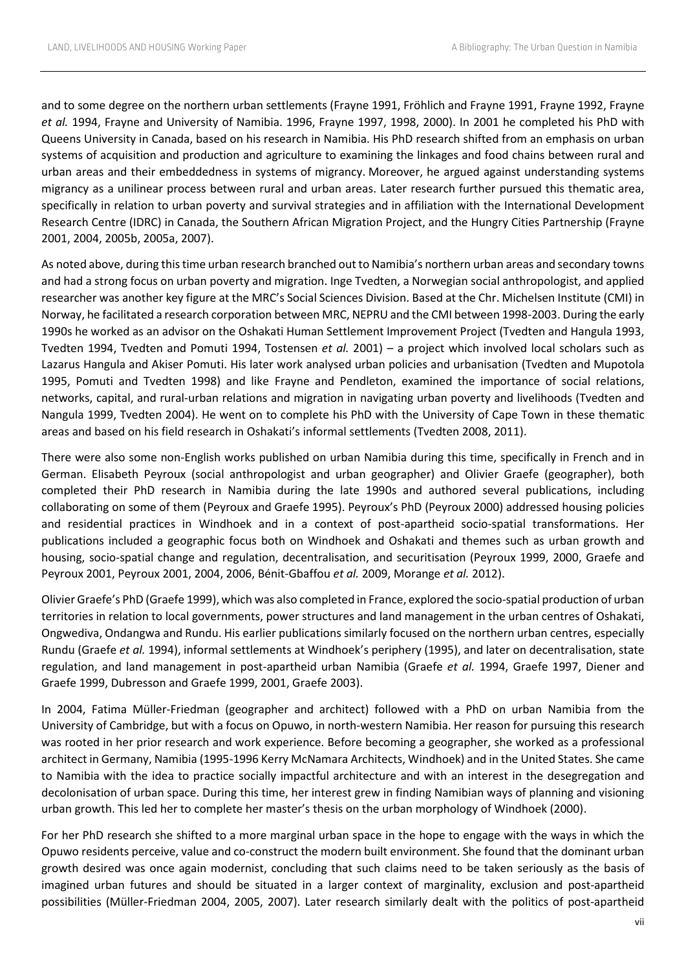and to some degree on the northern urban settlements (Frayne 1991, Fröhlich and Frayne 1991, Frayne 1992, Frayne *et al.* 1994, Frayne and University of Namibia. 1996, Frayne 1997, 1998, 2000). In 2001 he completed his PhD with Queens University in Canada, based on his research in Namibia. His PhD research shifted from an emphasis on urban systems of acquisition and production and agriculture to examining the linkages and food chains between rural and urban areas and their embeddedness in systems of migrancy. Moreover, he argued against understanding systems migrancy as a unilinear process between rural and urban areas. Later research further pursued this thematic area, specifically in relation to urban poverty and survival strategies and in affiliation with the International Development Research Centre (IDRC) in Canada, the Southern African Migration Project, and the Hungry Cities Partnership (Frayne 2001, 2004, 2005b, 2005a, 2007).

As noted above, during this time urban research branched out to Namibia's northern urban areas and secondary towns and had a strong focus on urban poverty and migration. Inge Tvedten, a Norwegian social anthropologist, and applied researcher was another key figure at the MRC's Social Sciences Division. Based at the Chr. Michelsen Institute (CMI) in Norway, he facilitated a research corporation between MRC, NEPRU and the CMI between 1998-2003. During the early 1990s he worked as an advisor on the Oshakati Human Settlement Improvement Project (Tvedten and Hangula 1993, Tvedten 1994, Tvedten and Pomuti 1994, Tostensen *et al.* 2001) – a project which involved local scholars such as Lazarus Hangula and Akiser Pomuti. His later work analysed urban policies and urbanisation (Tvedten and Mupotola 1995, Pomuti and Tvedten 1998) and like Frayne and Pendleton, examined the importance of social relations, networks, capital, and rural-urban relations and migration in navigating urban poverty and livelihoods (Tvedten and Nangula 1999, Tvedten 2004). He went on to complete his PhD with the University of Cape Town in these thematic areas and based on his field research in Oshakati's informal settlements (Tvedten 2008, 2011).

There were also some non-English works published on urban Namibia during this time, specifically in French and in German. Elisabeth Peyroux (social anthropologist and urban geographer) and Olivier Graefe (geographer), both completed their PhD research in Namibia during the late 1990s and authored several publications, including collaborating on some of them (Peyroux and Graefe 1995). Peyroux's PhD (Peyroux 2000) addressed housing policies and residential practices in Windhoek and in a context of post-apartheid socio-spatial transformations. Her publications included a geographic focus both on Windhoek and Oshakati and themes such as urban growth and housing, socio-spatial change and regulation, decentralisation, and securitisation (Peyroux 1999, 2000, Graefe and Peyroux 2001, Peyroux 2001, 2004, 2006, Bénit-Gbaffou *et al.* 2009, Morange *et al.* 2012).

Olivier Graefe's PhD (Graefe 1999), which was also completed in France, explored the socio-spatial production of urban territories in relation to local governments, power structures and land management in the urban centres of Oshakati, Ongwediva, Ondangwa and Rundu. His earlier publications similarly focused on the northern urban centres, especially Rundu (Graefe *et al.* 1994), informal settlements at Windhoek's periphery (1995), and later on decentralisation, state regulation, and land management in post-apartheid urban Namibia (Graefe *et al.* 1994, Graefe 1997, Diener and Graefe 1999, Dubresson and Graefe 1999, 2001, Graefe 2003).

In 2004, Fatima Müller-Friedman (geographer and architect) followed with a PhD on urban Namibia from the University of Cambridge, but with a focus on Opuwo, in north-western Namibia. Her reason for pursuing this research was rooted in her prior research and work experience. Before becoming a geographer, she worked as a professional architect in Germany, Namibia (1995-1996 Kerry McNamara Architects, Windhoek) and in the United States. She came to Namibia with the idea to practice socially impactful architecture and with an interest in the desegregation and decolonisation of urban space. During this time, her interest grew in finding Namibian ways of planning and visioning urban growth. This led her to complete her master's thesis on the urban morphology of Windhoek (2000).

For her PhD research she shifted to a more marginal urban space in the hope to engage with the ways in which the Opuwo residents perceive, value and co-construct the modern built environment. She found that the dominant urban growth desired was once again modernist, concluding that such claims need to be taken seriously as the basis of imagined urban futures and should be situated in a larger context of marginality, exclusion and post-apartheid possibilities (Müller-Friedman 2004, 2005, 2007). Later research similarly dealt with the politics of post-apartheid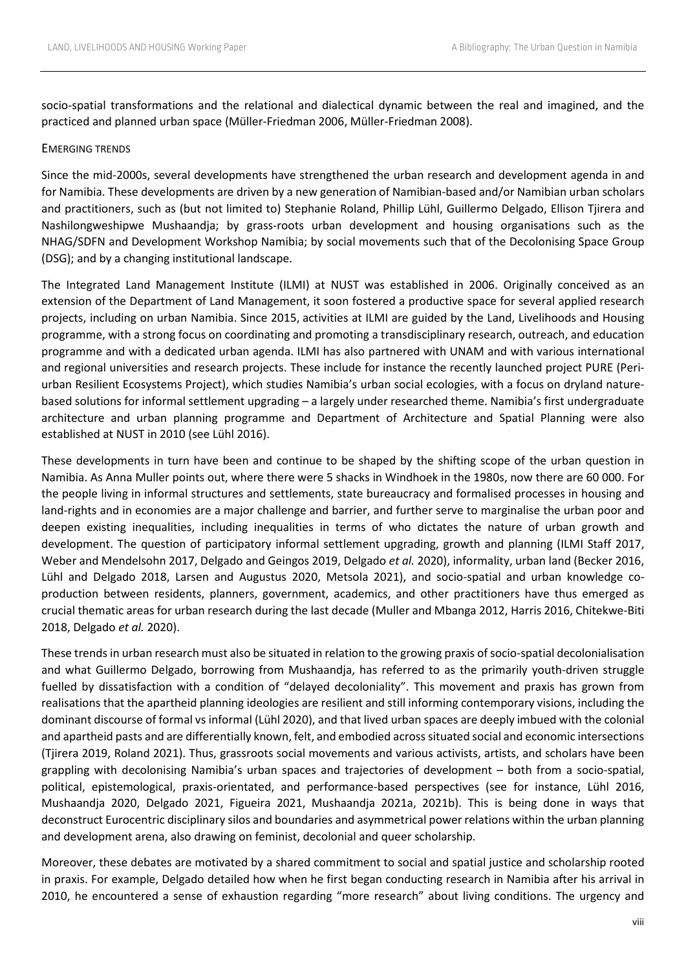socio-spatial transformations and the relational and dialectical dynamic between the real and imagined, and the practiced and planned urban space (Müller-Friedman 2006, Müller-Friedman 2008).

#### EMERGING TRENDS

Since the mid-2000s, several developments have strengthened the urban research and development agenda in and for Namibia. These developments are driven by a new generation of Namibian-based and/or Namibian urban scholars and practitioners, such as (but not limited to) Stephanie Roland, Phillip Lühl, Guillermo Delgado, Ellison Tjirera and Nashilongweshipwe Mushaandja; by grass-roots urban development and housing organisations such as the NHAG/SDFN and Development Workshop Namibia; by social movements such that of the Decolonising Space Group (DSG); and by a changing institutional landscape.

The Integrated Land Management Institute (ILMI) at NUST was established in 2006. Originally conceived as an extension of the Department of Land Management, it soon fostered a productive space for several applied research projects, including on urban Namibia. Since 2015, activities at ILMI are guided by the Land, Livelihoods and Housing programme, with a strong focus on coordinating and promoting a transdisciplinary research, outreach, and education programme and with a dedicated urban agenda. ILMI has also partnered with UNAM and with various international and regional universities and research projects. These include for instance the recently launched project PURE (Periurban Resilient Ecosystems Project), which studies Namibia's urban social ecologies, with a focus on dryland naturebased solutions for informal settlement upgrading – a largely under researched theme. Namibia's first undergraduate architecture and urban planning programme and Department of Architecture and Spatial Planning were also established at NUST in 2010 (see Lühl 2016).

These developments in turn have been and continue to be shaped by the shifting scope of the urban question in Namibia. As Anna Muller points out, where there were 5 shacks in Windhoek in the 1980s, now there are 60 000. For the people living in informal structures and settlements, state bureaucracy and formalised processes in housing and land-rights and in economies are a major challenge and barrier, and further serve to marginalise the urban poor and deepen existing inequalities, including inequalities in terms of who dictates the nature of urban growth and development. The question of participatory informal settlement upgrading, growth and planning (ILMI Staff 2017, Weber and Mendelsohn 2017, Delgado and Geingos 2019, Delgado *et al.* 2020), informality, urban land (Becker 2016, Lühl and Delgado 2018, Larsen and Augustus 2020, Metsola 2021), and socio-spatial and urban knowledge coproduction between residents, planners, government, academics, and other practitioners have thus emerged as crucial thematic areas for urban research during the last decade (Muller and Mbanga 2012, Harris 2016, Chitekwe-Biti 2018, Delgado *et al.* 2020).

These trends in urban research must also be situated in relation to the growing praxis of socio-spatial decolonialisation and what Guillermo Delgado, borrowing from Mushaandja, has referred to as the primarily youth-driven struggle fuelled by dissatisfaction with a condition of "delayed decoloniality". This movement and praxis has grown from realisations that the apartheid planning ideologies are resilient and still informing contemporary visions, including the dominant discourse of formal vs informal (Lühl 2020), and that lived urban spaces are deeply imbued with the colonial and apartheid pasts and are differentially known, felt, and embodied across situated social and economic intersections (Tjirera 2019, Roland 2021). Thus, grassroots social movements and various activists, artists, and scholars have been grappling with decolonising Namibia's urban spaces and trajectories of development – both from a socio-spatial, political, epistemological, praxis-orientated, and performance-based perspectives (see for instance, Lühl 2016, Mushaandja 2020, Delgado 2021, Figueira 2021, Mushaandja 2021a, 2021b). This is being done in ways that deconstruct Eurocentric disciplinary silos and boundaries and asymmetrical power relations within the urban planning and development arena, also drawing on feminist, decolonial and queer scholarship.

Moreover, these debates are motivated by a shared commitment to social and spatial justice and scholarship rooted in praxis. For example, Delgado detailed how when he first began conducting research in Namibia after his arrival in 2010, he encountered a sense of exhaustion regarding "more research" about living conditions. The urgency and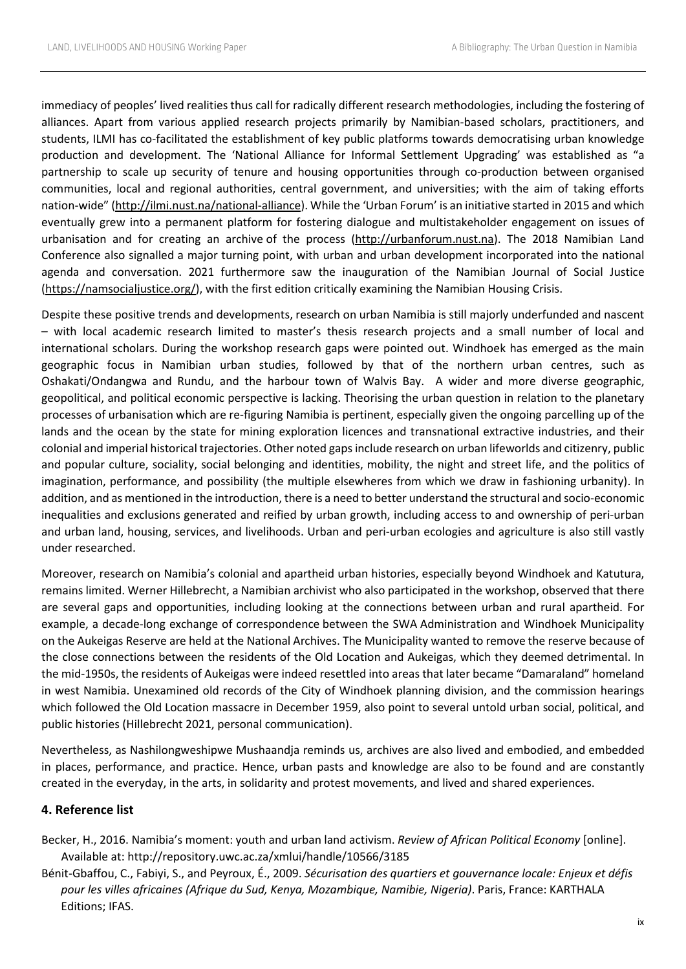immediacy of peoples' lived realities thus call for radically different research methodologies, including the fostering of alliances. Apart from various applied research projects primarily by Namibian-based scholars, practitioners, and students, ILMI has co-facilitated the establishment of key public platforms towards democratising urban knowledge production and development. The 'National Alliance for Informal Settlement Upgrading' was established as "a partnership to scale up security of tenure and housing opportunities through co-production between organised communities, local and regional authorities, central government, and universities; with the aim of taking efforts nation-wide" [\(http://ilmi.nust.na/national-alliance\)](http://ilmi.nust.na/national-alliance). While the 'Urban Forum' is an initiative started in 2015 and which eventually grew into a permanent platform for fostering dialogue and multistakeholder engagement on issues of urbanisation and for creating an archive of the process [\(http://urbanforum.nust.na\)](http://urbanforum.nust.na/). The 2018 Namibian Land Conference also signalled a major turning point, with urban and urban development incorporated into the national agenda and conversation. 2021 furthermore saw the inauguration of the Namibian Journal of Social Justice [\(https://namsocialjustice.org/\)](https://namsocialjustice.org/), with the first edition critically examining the Namibian Housing Crisis.

Despite these positive trends and developments, research on urban Namibia is still majorly underfunded and nascent – with local academic research limited to master's thesis research projects and a small number of local and international scholars. During the workshop research gaps were pointed out. Windhoek has emerged as the main geographic focus in Namibian urban studies, followed by that of the northern urban centres, such as Oshakati/Ondangwa and Rundu, and the harbour town of Walvis Bay. A wider and more diverse geographic, geopolitical, and political economic perspective is lacking. Theorising the urban question in relation to the planetary processes of urbanisation which are re-figuring Namibia is pertinent, especially given the ongoing parcelling up of the lands and the ocean by the state for mining exploration licences and transnational extractive industries, and their colonial and imperial historical trajectories. Other noted gaps include research on urban lifeworlds and citizenry, public and popular culture, sociality, social belonging and identities, mobility, the night and street life, and the politics of imagination, performance, and possibility (the multiple elsewheres from which we draw in fashioning urbanity). In addition, and as mentioned in the introduction, there is a need to better understand the structural and socio-economic inequalities and exclusions generated and reified by urban growth, including access to and ownership of peri-urban and urban land, housing, services, and livelihoods. Urban and peri-urban ecologies and agriculture is also still vastly under researched.

Moreover, research on Namibia's colonial and apartheid urban histories, especially beyond Windhoek and Katutura, remains limited. Werner Hillebrecht, a Namibian archivist who also participated in the workshop, observed that there are several gaps and opportunities, including looking at the connections between urban and rural apartheid. For example, a decade-long exchange of correspondence between the SWA Administration and Windhoek Municipality on the Aukeigas Reserve are held at the National Archives. The Municipality wanted to remove the reserve because of the close connections between the residents of the Old Location and Aukeigas, which they deemed detrimental. In the mid-1950s, the residents of Aukeigas were indeed resettled into areas that later became "Damaraland" homeland in west Namibia. Unexamined old records of the City of Windhoek planning division, and the commission hearings which followed the Old Location massacre in December 1959, also point to several untold urban social, political, and public histories (Hillebrecht 2021, personal communication).

Nevertheless, as Nashilongweshipwe Mushaandja reminds us, archives are also lived and embodied, and embedded in places, performance, and practice. Hence, urban pasts and knowledge are also to be found and are constantly created in the everyday, in the arts, in solidarity and protest movements, and lived and shared experiences.

### **4. Reference list**

- Becker, H., 2016. Namibia's moment: youth and urban land activism. *Review of African Political Economy* [online]. Available at: http://repository.uwc.ac.za/xmlui/handle/10566/3185
- Bénit-Gbaffou, C., Fabiyi, S., and Peyroux, É., 2009. *Sécurisation des quartiers et gouvernance locale: Enjeux et défis pour les villes africaines (Afrique du Sud, Kenya, Mozambique, Namibie, Nigeria)*. Paris, France: KARTHALA Editions; IFAS.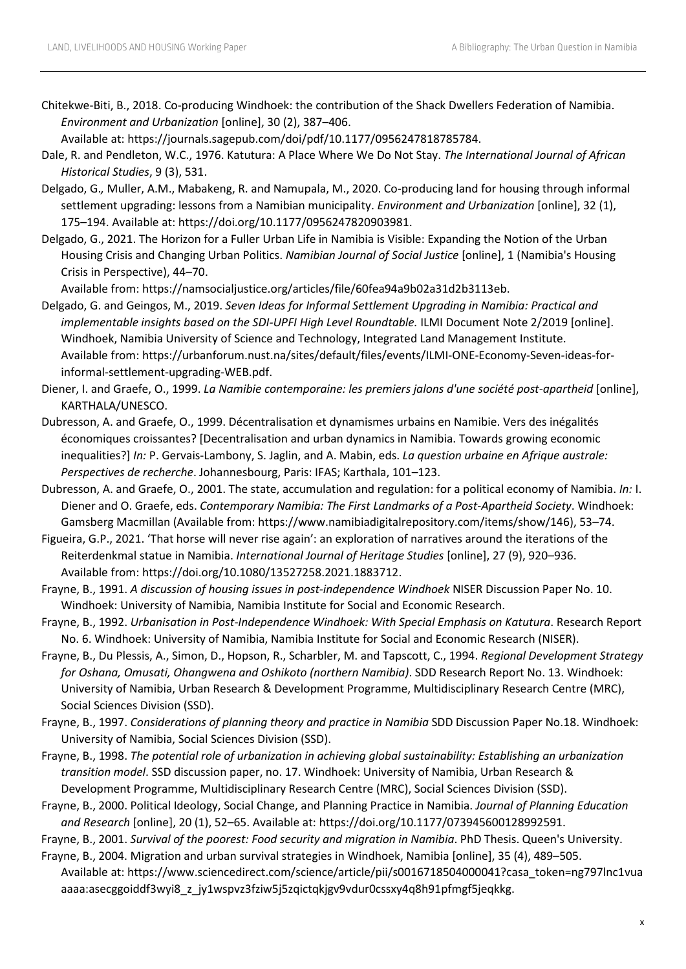Chitekwe-Biti, B., 2018. Co-producing Windhoek: the contribution of the Shack Dwellers Federation of Namibia. *Environment and Urbanization* [online], 30 (2), 387–406.

Available at: https://journals.sagepub.com/doi/pdf/10.1177/0956247818785784.

- Dale, R. and Pendleton, W.C., 1976. Katutura: A Place Where We Do Not Stay. *The International Journal of African Historical Studies*, 9 (3), 531.
- Delgado, G.*,* Muller, A.M., Mabakeng, R. and Namupala, M., 2020. Co-producing land for housing through informal settlement upgrading: lessons from a Namibian municipality. *Environment and Urbanization* [online], 32 (1), 175–194. Available at: https://doi.org/10.1177/0956247820903981.
- Delgado, G., 2021. The Horizon for a Fuller Urban Life in Namibia is Visible: Expanding the Notion of the Urban Housing Crisis and Changing Urban Politics. *Namibian Journal of Social Justice* [online], 1 (Namibia's Housing Crisis in Perspective), 44–70.

Available from: https://namsocialjustice.org/articles/file/60fea94a9b02a31d2b3113eb.

Delgado, G. and Geingos, M., 2019. *Seven Ideas for Informal Settlement Upgrading in Namibia: Practical and implementable insights based on the SDI-UPFI High Level Roundtable.* ILMI Document Note 2/2019 [online]. Windhoek, Namibia University of Science and Technology, Integrated Land Management Institute. Available from: https://urbanforum.nust.na/sites/default/files/events/ILMI-ONE-Economy-Seven-ideas-forinformal-settlement-upgrading-WEB.pdf.

Diener, I. and Graefe, O., 1999. *La Namibie contemporaine: les premiers jalons d'une société post-apartheid* [online], KARTHALA/UNESCO.

- Dubresson, A. and Graefe, O., 1999. Décentralisation et dynamismes urbains en Namibie. Vers des inégalités économiques croissantes? [Decentralisation and urban dynamics in Namibia. Towards growing economic inequalities?] *In:* P. Gervais-Lambony, S. Jaglin, and A. Mabin, eds. *La question urbaine en Afrique australe: Perspectives de recherche*. Johannesbourg, Paris: IFAS; Karthala, 101–123.
- Dubresson, A. and Graefe, O., 2001. The state, accumulation and regulation: for a political economy of Namibia. *In:* I. Diener and O. Graefe, eds. *Contemporary Namibia: The First Landmarks of a Post-Apartheid Society*. Windhoek: Gamsberg Macmillan (Available from: https://www.namibiadigitalrepository.com/items/show/146), 53–74.

Figueira, G.P., 2021. 'That horse will never rise again': an exploration of narratives around the iterations of the Reiterdenkmal statue in Namibia. *International Journal of Heritage Studies* [online], 27 (9), 920–936. Available from: https://doi.org/10.1080/13527258.2021.1883712.

Frayne, B., 1991. *A discussion of housing issues in post-independence Windhoek* NISER Discussion Paper No. 10. Windhoek: University of Namibia, Namibia Institute for Social and Economic Research.

Frayne, B., 1992. *Urbanisation in Post-Independence Windhoek: With Special Emphasis on Katutura*. Research Report No. 6. Windhoek: University of Namibia, Namibia Institute for Social and Economic Research (NISER).

- Frayne, B., Du Plessis, A., Simon, D., Hopson, R., Scharbler, M. and Tapscott, C., 1994. *Regional Development Strategy for Oshana, Omusati, Ohangwena and Oshikoto (northern Namibia)*. SDD Research Report No. 13. Windhoek: University of Namibia, Urban Research & Development Programme, Multidisciplinary Research Centre (MRC), Social Sciences Division (SSD).
- Frayne, B., 1997. *Considerations of planning theory and practice in Namibia* SDD Discussion Paper No.18. Windhoek: University of Namibia, Social Sciences Division (SSD).
- Frayne, B., 1998. *The potential role of urbanization in achieving global sustainability: Establishing an urbanization transition model*. SSD discussion paper, no. 17. Windhoek: University of Namibia, Urban Research & Development Programme, Multidisciplinary Research Centre (MRC), Social Sciences Division (SSD).
- Frayne, B., 2000. Political Ideology, Social Change, and Planning Practice in Namibia. *Journal of Planning Education and Research* [online], 20 (1), 52–65. Available at: https://doi.org/10.1177/073945600128992591.

Frayne, B., 2001. *Survival of the poorest: Food security and migration in Namibia*. PhD Thesis. Queen's University.

Frayne, B., 2004. Migration and urban survival strategies in Windhoek, Namibia [online], 35 (4), 489–505. Available at: https://www.sciencedirect.com/science/article/pii/s0016718504000041?casa\_token=ng797lnc1vua aaaa:asecggoiddf3wyi8\_z\_jy1wspvz3fziw5j5zqictqkjgv9vdur0cssxy4q8h91pfmgf5jeqkkg.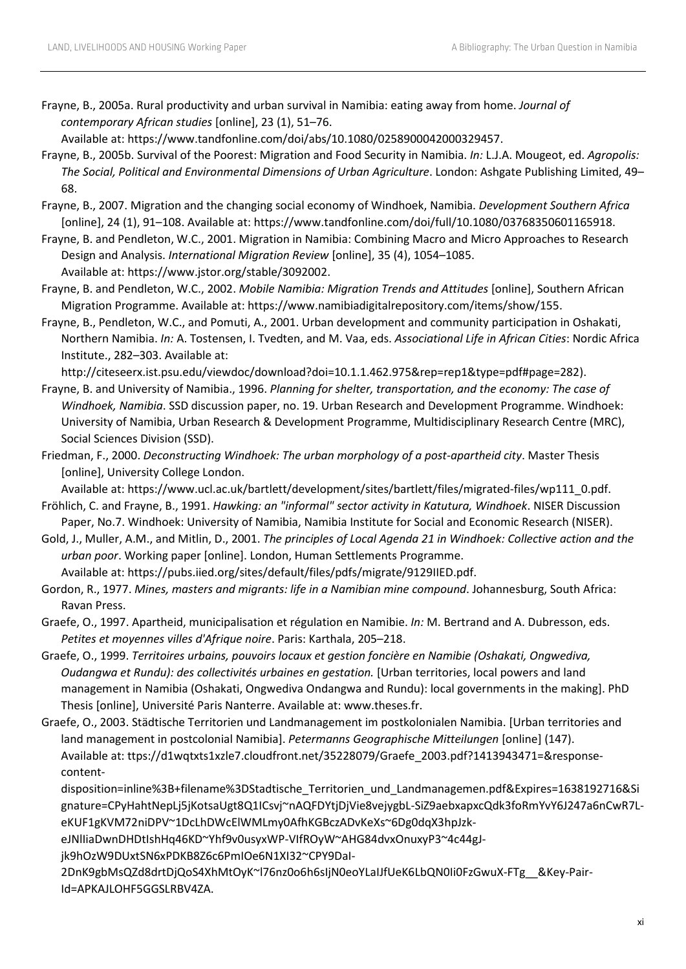Frayne, B., 2005a. Rural productivity and urban survival in Namibia: eating away from home. *Journal of contemporary African studies* [online], 23 (1), 51–76.

Available at: https://www.tandfonline.com/doi/abs/10.1080/0258900042000329457.

- Frayne, B., 2005b. Survival of the Poorest: Migration and Food Security in Namibia. *In:* L.J.A. Mougeot, ed. *Agropolis: The Social, Political and Environmental Dimensions of Urban Agriculture*. London: Ashgate Publishing Limited, 49– 68.
- Frayne, B., 2007. Migration and the changing social economy of Windhoek, Namibia. *Development Southern Africa*  [online], 24 (1), 91–108. Available at: https://www.tandfonline.com/doi/full/10.1080/03768350601165918.
- Frayne, B. and Pendleton, W.C., 2001. Migration in Namibia: Combining Macro and Micro Approaches to Research Design and Analysis. *International Migration Review* [online], 35 (4), 1054–1085. Available at: https://www.jstor.org/stable/3092002.
- Frayne, B. and Pendleton, W.C., 2002. *Mobile Namibia: Migration Trends and Attitudes* [online], Southern African Migration Programme. Available at: https://www.namibiadigitalrepository.com/items/show/155.
- Frayne, B., Pendleton, W.C., and Pomuti, A., 2001. Urban development and community participation in Oshakati, Northern Namibia. *In:* A. Tostensen, I. Tvedten, and M. Vaa, eds. *Associational Life in African Cities*: Nordic Africa Institute., 282–303. Available at:

http://citeseerx.ist.psu.edu/viewdoc/download?doi=10.1.1.462.975&rep=rep1&type=pdf#page=282).

- Frayne, B. and University of Namibia., 1996. *Planning for shelter, transportation, and the economy: The case of Windhoek, Namibia*. SSD discussion paper, no. 19. Urban Research and Development Programme. Windhoek: University of Namibia, Urban Research & Development Programme, Multidisciplinary Research Centre (MRC), Social Sciences Division (SSD).
- Friedman, F., 2000. *Deconstructing Windhoek: The urban morphology of a post-apartheid city*. Master Thesis [online], University College London.

Available at: https://www.ucl.ac.uk/bartlett/development/sites/bartlett/files/migrated-files/wp111\_0.pdf. Fröhlich, C. and Frayne, B., 1991. *Hawking: an "informal" sector activity in Katutura, Windhoek*. NISER Discussion

- Paper, No.7. Windhoek: University of Namibia, Namibia Institute for Social and Economic Research (NISER). Gold, J., Muller, A.M., and Mitlin, D., 2001. *The principles of Local Agenda 21 in Windhoek: Collective action and the*
- *urban poor*. Working paper [online]. London, Human Settlements Programme. Available at: https://pubs.iied.org/sites/default/files/pdfs/migrate/9129IIED.pdf.
- Gordon, R., 1977. *Mines, masters and migrants: life in a Namibian mine compound*. Johannesburg, South Africa: Ravan Press.
- Graefe, O., 1997. Apartheid, municipalisation et régulation en Namibie. *In:* M. Bertrand and A. Dubresson, eds. *Petites et moyennes villes d'Afrique noire*. Paris: Karthala, 205–218.
- Graefe, O., 1999. *Territoires urbains, pouvoirs locaux et gestion foncière en Namibie (Oshakati, Ongwediva, Oudangwa et Rundu): des collectivités urbaines en gestation.* [Urban territories, local powers and land management in Namibia (Oshakati, Ongwediva Ondangwa and Rundu): local governments in the making]. PhD Thesis [online], Université Paris Nanterre. Available at: www.theses.fr.
- Graefe, O., 2003. Städtische Territorien und Landmanagement im postkolonialen Namibia. [Urban territories and land management in postcolonial Namibia]. *Petermanns Geographische Mitteilungen* [online] (147). Available at: ttps://d1wqtxts1xzle7.cloudfront.net/35228079/Graefe\_2003.pdf?1413943471=&responsecontent-

disposition=inline%3B+filename%3DStadtische\_Territorien\_und\_Landmanagemen.pdf&Expires=1638192716&Si gnature=CPyHahtNepLj5jKotsaUgt8Q1ICsvj~nAQFDYtjDjVie8vejygbL-SiZ9aebxapxcQdk3foRmYvY6J247a6nCwR7LeKUF1gKVM72niDPV~1DcLhDWcElWMLmy0AfhKGBczADvKeXs~6Dg0dqX3hpJzk-

eJNlIiaDwnDHDtIshHq46KD~Yhf9v0usyxWP-VIfROyW~AHG84dvxOnuxyP3~4c44gJ-

jk9hOzW9DUxtSN6xPDKB8Z6c6PmIOe6N1XI32~CPY9DaI-

2DnK9gbMsQZd8drtDjQoS4XhMtOyK~l76nz0o6h6sIjN0eoYLaIJfUeK6LbQN0Ii0FzGwuX-FTg\_\_&Key-Pair-Id=APKAJLOHF5GGSLRBV4ZA.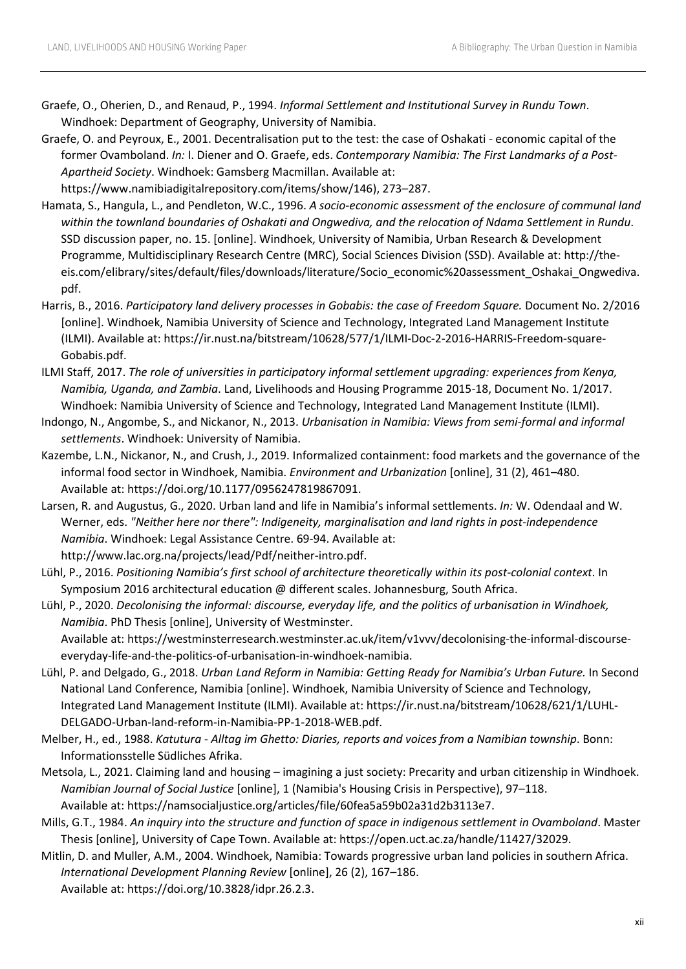- Graefe, O., Oherien, D., and Renaud, P., 1994. *Informal Settlement and Institutional Survey in Rundu Town*. Windhoek: Department of Geography, University of Namibia.
- Graefe, O. and Peyroux, E., 2001. Decentralisation put to the test: the case of Oshakati economic capital of the former Ovamboland. *In:* I. Diener and O. Graefe, eds. *Contemporary Namibia: The First Landmarks of a Post-Apartheid Society*. Windhoek: Gamsberg Macmillan. Available at:

https://www.namibiadigitalrepository.com/items/show/146), 273–287.

- Hamata, S., Hangula, L., and Pendleton, W.C., 1996. *A socio-economic assessment of the enclosure of communal land within the townland boundaries of Oshakati and Ongwediva, and the relocation of Ndama Settlement in Rundu*. SSD discussion paper, no. 15. [online]. Windhoek, University of Namibia, Urban Research & Development Programme, Multidisciplinary Research Centre (MRC), Social Sciences Division (SSD). Available at: http://theeis.com/elibrary/sites/default/files/downloads/literature/Socio\_economic%20assessment\_Oshakai\_Ongwediva. pdf.
- Harris, B., 2016. *Participatory land delivery processes in Gobabis: the case of Freedom Square.* Document No. 2/2016 [online]. Windhoek, Namibia University of Science and Technology, Integrated Land Management Institute (ILMI). Available at: https://ir.nust.na/bitstream/10628/577/1/ILMI-Doc-2-2016-HARRIS-Freedom-square-Gobabis.pdf.
- ILMI Staff, 2017. *The role of universities in participatory informal settlement upgrading: experiences from Kenya, Namibia, Uganda, and Zambia*. Land, Livelihoods and Housing Programme 2015-18, Document No. 1/2017. Windhoek: Namibia University of Science and Technology, Integrated Land Management Institute (ILMI).
- Indongo, N., Angombe, S., and Nickanor, N., 2013. *Urbanisation in Namibia: Views from semi-formal and informal settlements*. Windhoek: University of Namibia.
- Kazembe, L.N., Nickanor, N., and Crush, J., 2019. Informalized containment: food markets and the governance of the informal food sector in Windhoek, Namibia. *Environment and Urbanization* [online], 31 (2), 461–480. Available at: https://doi.org/10.1177/0956247819867091.
- Larsen, R. and Augustus, G., 2020. Urban land and life in Namibia's informal settlements. *In:* W. Odendaal and W. Werner, eds. *"Neither here nor there": Indigeneity, marginalisation and land rights in post-independence Namibia*. Windhoek: Legal Assistance Centre. 69-94. Available at:

http://www.lac.org.na/projects/lead/Pdf/neither-intro.pdf.

Lühl, P., 2016. *Positioning Namibia's first school of architecture theoretically within its post-colonial context*. In Symposium 2016 architectural education @ different scales. Johannesburg, South Africa.

Lühl, P., 2020. *Decolonising the informal: discourse, everyday life, and the politics of urbanisation in Windhoek, Namibia*. PhD Thesis [online], University of Westminster.

Available at: https://westminsterresearch.westminster.ac.uk/item/v1vvv/decolonising-the-informal-discourseeveryday-life-and-the-politics-of-urbanisation-in-windhoek-namibia.

- Lühl, P. and Delgado, G., 2018. *Urban Land Reform in Namibia: Getting Ready for Namibia's Urban Future.* In Second National Land Conference, Namibia [online]. Windhoek, Namibia University of Science and Technology, Integrated Land Management Institute (ILMI). Available at: https://ir.nust.na/bitstream/10628/621/1/LUHL-DELGADO-Urban-land-reform-in-Namibia-PP-1-2018-WEB.pdf.
- Melber, H., ed., 1988. *Katutura - Alltag im Ghetto: Diaries, reports and voices from a Namibian township*. Bonn: Informationsstelle Südliches Afrika.
- Metsola, L., 2021. Claiming land and housing imagining a just society: Precarity and urban citizenship in Windhoek. *Namibian Journal of Social Justice* [online], 1 (Namibia's Housing Crisis in Perspective), 97–118. Available at: https://namsocialjustice.org/articles/file/60fea5a59b02a31d2b3113e7.
- Mills, G.T., 1984. *An inquiry into the structure and function of space in indigenous settlement in Ovamboland*. Master Thesis [online], University of Cape Town. Available at: https://open.uct.ac.za/handle/11427/32029.
- Mitlin, D. and Muller, A.M., 2004. Windhoek, Namibia: Towards progressive urban land policies in southern Africa. *International Development Planning Review* [online], 26 (2), 167–186. Available at: https://doi.org/10.3828/idpr.26.2.3.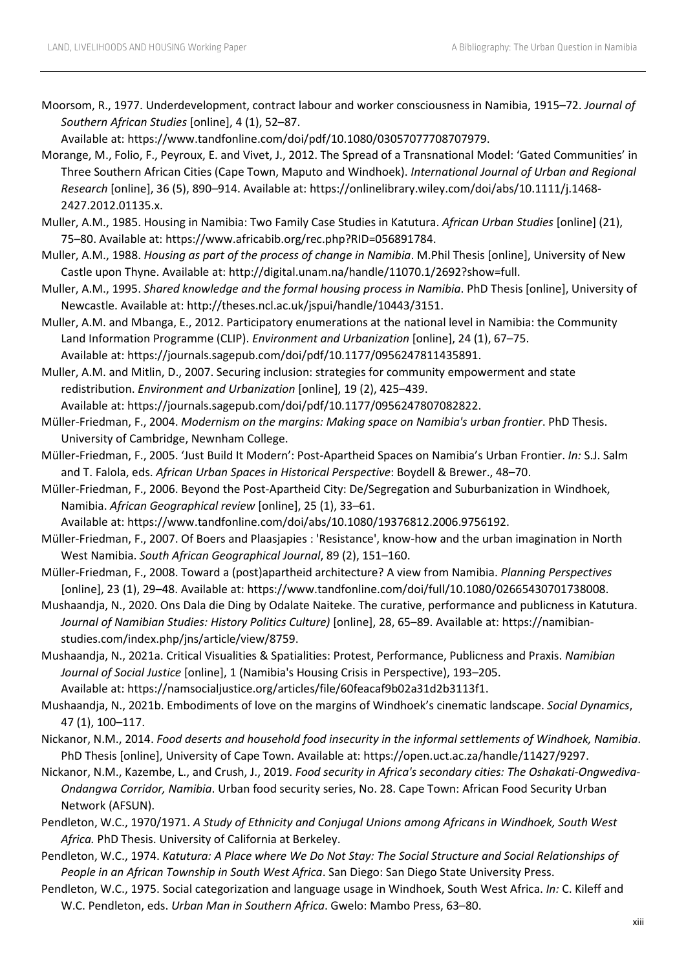Moorsom, R., 1977. Underdevelopment, contract labour and worker consciousness in Namibia, 1915–72. *Journal of Southern African Studies* [online], 4 (1), 52–87.

Available at: https://www.tandfonline.com/doi/pdf/10.1080/03057077708707979.

- Morange, M., Folio, F., Peyroux, E. and Vivet, J., 2012. The Spread of a Transnational Model: 'Gated Communities' in Three Southern African Cities (Cape Town, Maputo and Windhoek). *International Journal of Urban and Regional Research* [online], 36 (5), 890–914. Available at: https://onlinelibrary.wiley.com/doi/abs/10.1111/j.1468- 2427.2012.01135.x.
- Muller, A.M., 1985. Housing in Namibia: Two Family Case Studies in Katutura. *African Urban Studies* [online] (21), 75–80. Available at: https://www.africabib.org/rec.php?RID=056891784.
- Muller, A.M., 1988. *Housing as part of the process of change in Namibia*. M.Phil Thesis [online], University of New Castle upon Thyne. Available at: http://digital.unam.na/handle/11070.1/2692?show=full.
- Muller, A.M., 1995. *Shared knowledge and the formal housing process in Namibia*. PhD Thesis [online], University of Newcastle. Available at: http://theses.ncl.ac.uk/jspui/handle/10443/3151.
- Muller, A.M. and Mbanga, E., 2012. Participatory enumerations at the national level in Namibia: the Community Land Information Programme (CLIP). *Environment and Urbanization* [online], 24 (1), 67–75. Available at: https://journals.sagepub.com/doi/pdf/10.1177/0956247811435891.
- Muller, A.M. and Mitlin, D., 2007. Securing inclusion: strategies for community empowerment and state redistribution. *Environment and Urbanization* [online], 19 (2), 425–439.

Available at: https://journals.sagepub.com/doi/pdf/10.1177/0956247807082822.

- Müller-Friedman, F., 2004. *Modernism on the margins: Making space on Namibia's urban frontier*. PhD Thesis. University of Cambridge, Newnham College.
- Müller-Friedman, F., 2005. 'Just Build It Modern': Post-Apartheid Spaces on Namibia's Urban Frontier. *In:* S.J. Salm and T. Falola, eds. *African Urban Spaces in Historical Perspective*: Boydell & Brewer., 48–70.
- Müller-Friedman, F., 2006. Beyond the Post-Apartheid City: De/Segregation and Suburbanization in Windhoek, Namibia. *African Geographical review* [online], 25 (1), 33–61.
- Available at: https://www.tandfonline.com/doi/abs/10.1080/19376812.2006.9756192.
- Müller-Friedman, F., 2007. Of Boers and Plaasjapies : 'Resistance', know-how and the urban imagination in North West Namibia. *South African Geographical Journal*, 89 (2), 151–160.
- Müller-Friedman, F., 2008. Toward a (post)apartheid architecture? A view from Namibia. *Planning Perspectives*  [online], 23 (1), 29–48. Available at: https://www.tandfonline.com/doi/full/10.1080/02665430701738008.
- Mushaandja, N., 2020. Ons Dala die Ding by Odalate Naiteke. The curative, performance and publicness in Katutura. *Journal of Namibian Studies: History Politics Culture)* [online], 28, 65–89. Available at: https://namibianstudies.com/index.php/jns/article/view/8759.
- Mushaandja, N., 2021a. Critical Visualities & Spatialities: Protest, Performance, Publicness and Praxis. *Namibian Journal of Social Justice* [online], 1 (Namibia's Housing Crisis in Perspective), 193–205. Available at: https://namsocialjustice.org/articles/file/60feacaf9b02a31d2b3113f1.
- Mushaandja, N., 2021b. Embodiments of love on the margins of Windhoek's cinematic landscape. *Social Dynamics*, 47 (1), 100–117.
- Nickanor, N.M., 2014. *Food deserts and household food insecurity in the informal settlements of Windhoek, Namibia*. PhD Thesis [online], University of Cape Town. Available at: https://open.uct.ac.za/handle/11427/9297.
- Nickanor, N.M., Kazembe, L., and Crush, J., 2019. *Food security in Africa's secondary cities: The Oshakati-Ongwediva-Ondangwa Corridor, Namibia*. Urban food security series, No. 28. Cape Town: African Food Security Urban Network (AFSUN).
- Pendleton, W.C., 1970/1971. *A Study of Ethnicity and Conjugal Unions among Africans in Windhoek, South West Africa.* PhD Thesis. University of California at Berkeley.
- Pendleton, W.C., 1974. *Katutura: A Place where We Do Not Stay: The Social Structure and Social Relationships of People in an African Township in South West Africa*. San Diego: San Diego State University Press.
- Pendleton, W.C., 1975. Social categorization and language usage in Windhoek, South West Africa. *In:* C. Kileff and W.C. Pendleton, eds. *Urban Man in Southern Africa*. Gwelo: Mambo Press, 63–80.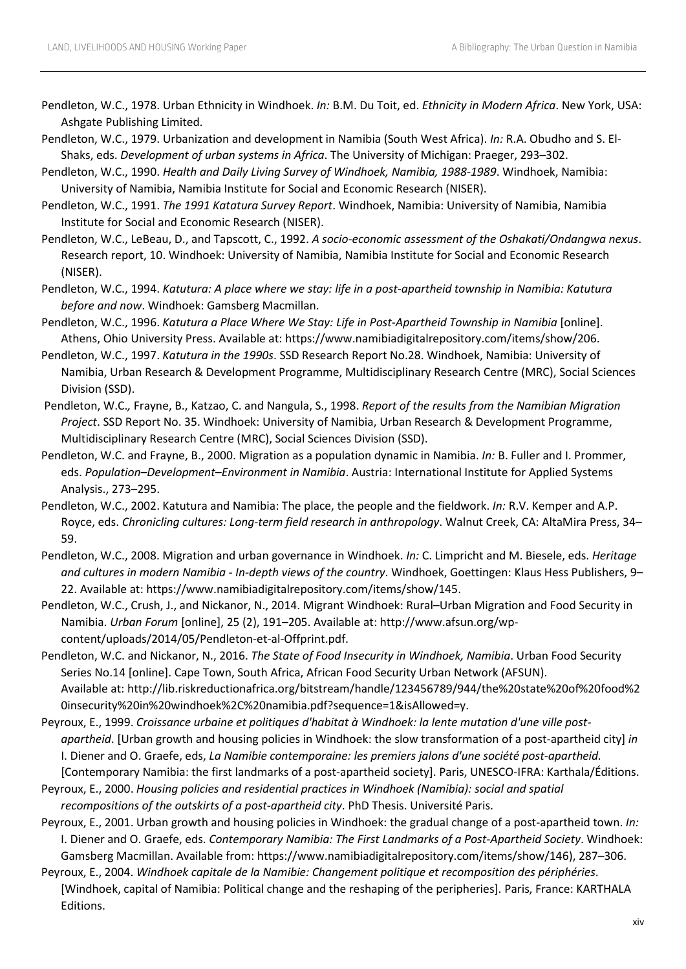- Pendleton, W.C., 1978. Urban Ethnicity in Windhoek. *In:* B.M. Du Toit, ed. *Ethnicity in Modern Africa*. New York, USA: Ashgate Publishing Limited.
- Pendleton, W.C., 1979. Urbanization and development in Namibia (South West Africa). *In:* R.A. Obudho and S. El-Shaks, eds. *Development of urban systems in Africa*. The University of Michigan: Praeger, 293–302.
- Pendleton, W.C., 1990. *Health and Daily Living Survey of Windhoek, Namibia, 1988-1989*. Windhoek, Namibia: University of Namibia, Namibia Institute for Social and Economic Research (NISER).
- Pendleton, W.C., 1991. *The 1991 Katatura Survey Report*. Windhoek, Namibia: University of Namibia, Namibia Institute for Social and Economic Research (NISER).
- Pendleton, W.C., LeBeau, D., and Tapscott, C., 1992. *A socio-economic assessment of the Oshakati/Ondangwa nexus*. Research report, 10. Windhoek: University of Namibia, Namibia Institute for Social and Economic Research (NISER).
- Pendleton, W.C., 1994. *Katutura: A place where we stay: life in a post-apartheid township in Namibia: Katutura before and now*. Windhoek: Gamsberg Macmillan.
- Pendleton, W.C., 1996. *Katutura a Place Where We Stay: Life in Post-Apartheid Township in Namibia* [online]. Athens, Ohio University Press. Available at: https://www.namibiadigitalrepository.com/items/show/206.
- Pendleton, W.C., 1997. *Katutura in the 1990s*. SSD Research Report No.28. Windhoek, Namibia: University of Namibia, Urban Research & Development Programme, Multidisciplinary Research Centre (MRC), Social Sciences Division (SSD).
- Pendleton, W.C.*,* Frayne, B., Katzao, C. and Nangula, S., 1998. *Report of the results from the Namibian Migration Project*. SSD Report No. 35. Windhoek: University of Namibia, Urban Research & Development Programme, Multidisciplinary Research Centre (MRC), Social Sciences Division (SSD).
- Pendleton, W.C. and Frayne, B., 2000. Migration as a population dynamic in Namibia. *In:* B. Fuller and I. Prommer, eds. *Population–Development–Environment in Namibia*. Austria: International Institute for Applied Systems Analysis., 273–295.
- Pendleton, W.C., 2002. Katutura and Namibia: The place, the people and the fieldwork. *In:* R.V. Kemper and A.P. Royce, eds. *Chronicling cultures: Long-term field research in anthropology*. Walnut Creek, CA: AltaMira Press, 34– 59.
- Pendleton, W.C., 2008. Migration and urban governance in Windhoek. *In:* C. Limpricht and M. Biesele, eds. *Heritage and cultures in modern Namibia - In-depth views of the country*. Windhoek, Goettingen: Klaus Hess Publishers, 9– 22. Available at: https://www.namibiadigitalrepository.com/items/show/145.
- Pendleton, W.C., Crush, J., and Nickanor, N., 2014. Migrant Windhoek: Rural–Urban Migration and Food Security in Namibia. *Urban Forum* [online], 25 (2), 191–205. Available at: http://www.afsun.org/wpcontent/uploads/2014/05/Pendleton-et-al-Offprint.pdf.
- Pendleton, W.C. and Nickanor, N., 2016. *The State of Food Insecurity in Windhoek, Namibia*. Urban Food Security Series No.14 [online]. Cape Town, South Africa, African Food Security Urban Network (AFSUN). Available at: http://lib.riskreductionafrica.org/bitstream/handle/123456789/944/the%20state%20of%20food%2 0insecurity%20in%20windhoek%2C%20namibia.pdf?sequence=1&isAllowed=y.
- Peyroux, E., 1999. *Croissance urbaine et politiques d'habitat à Windhoek: la lente mutation d'une ville postapartheid*. [Urban growth and housing policies in Windhoek: the slow transformation of a post-apartheid city] *in*  I. Diener and O. Graefe, eds, *La Namibie contemporaine: les premiers jalons d'une société post-apartheid.* [Contemporary Namibia: the first landmarks of a post-apartheid society]. Paris, UNESCO-IFRA: Karthala/Éditions.
- Peyroux, E., 2000. *Housing policies and residential practices in Windhoek (Namibia): social and spatial recompositions of the outskirts of a post-apartheid city*. PhD Thesis. Université Paris.
- Peyroux, E., 2001. Urban growth and housing policies in Windhoek: the gradual change of a post-apartheid town. *In:*  I. Diener and O. Graefe, eds. *Contemporary Namibia: The First Landmarks of a Post-Apartheid Society*. Windhoek: Gamsberg Macmillan. Available from: https://www.namibiadigitalrepository.com/items/show/146), 287–306.
- Peyroux, E., 2004. *Windhoek capitale de la Namibie: Changement politique et recomposition des périphéries*. [Windhoek, capital of Namibia: Political change and the reshaping of the peripheries]. Paris, France: KARTHALA Editions.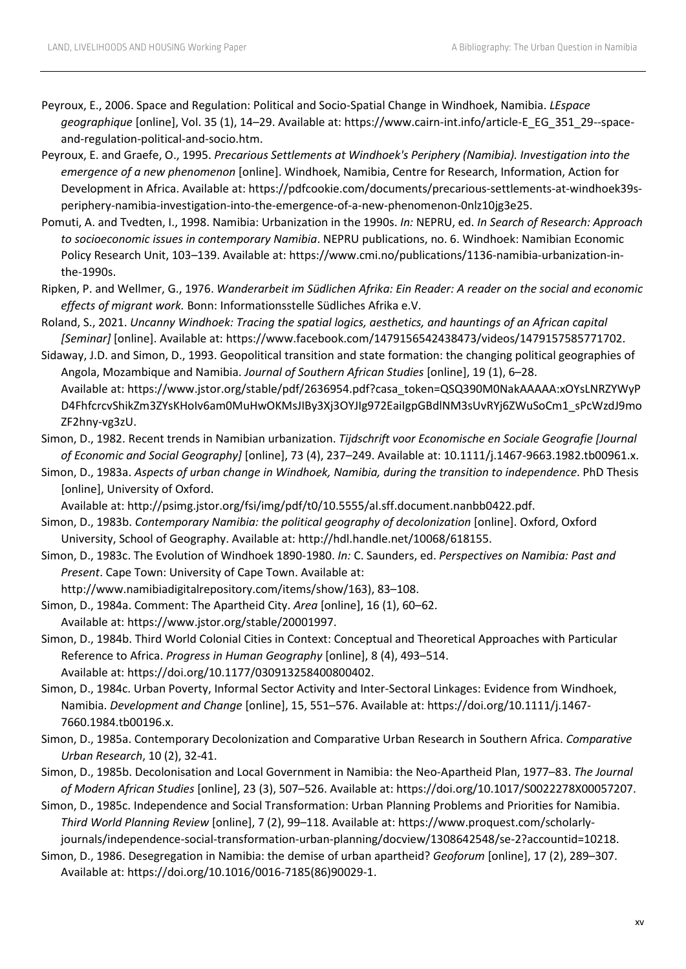- Peyroux, E., 2006. Space and Regulation: Political and Socio-Spatial Change in Windhoek, Namibia. *LEspace geographique* [online], Vol. 35 (1), 14–29. Available at: https://www.cairn-int.info/article-E\_EG\_351\_29--spaceand-regulation-political-and-socio.htm.
- Peyroux, E. and Graefe, O., 1995. *Precarious Settlements at Windhoek's Periphery (Namibia). Investigation into the emergence of a new phenomenon* [online]. Windhoek, Namibia, Centre for Research, Information, Action for Development in Africa. Available at: https://pdfcookie.com/documents/precarious-settlements-at-windhoek39speriphery-namibia-investigation-into-the-emergence-of-a-new-phenomenon-0nlz10jg3e25.
- Pomuti, A. and Tvedten, I., 1998. Namibia: Urbanization in the 1990s. *In:* NEPRU, ed. *In Search of Research: Approach to socioeconomic issues in contemporary Namibia*. NEPRU publications, no. 6. Windhoek: Namibian Economic Policy Research Unit, 103–139. Available at: https://www.cmi.no/publications/1136-namibia-urbanization-inthe-1990s.
- Ripken, P. and Wellmer, G., 1976. *Wanderarbeit im Südlichen Afrika: Ein Reader: A reader on the social and economic effects of migrant work.* Bonn: Informationsstelle Südliches Afrika e.V.
- Roland, S., 2021. *Uncanny Windhoek: Tracing the spatial logics, aesthetics, and hauntings of an African capital [Seminar]* [online]. Available at: https://www.facebook.com/1479156542438473/videos/1479157585771702.
- Sidaway, J.D. and Simon, D., 1993. Geopolitical transition and state formation: the changing political geographies of Angola, Mozambique and Namibia. *Journal of Southern African Studies* [online], 19 (1), 6–28. Available at: https://www.jstor.org/stable/pdf/2636954.pdf?casa\_token=QSQ390M0NakAAAAA:xOYsLNRZYWyP D4FhfcrcvShikZm3ZYsKHoIv6am0MuHwOKMsJIBy3Xj3OYJIg972EaiIgpGBdlNM3sUvRYj6ZWuSoCm1\_sPcWzdJ9mo ZF2hny-vg3zU.
- Simon, D., 1982. Recent trends in Namibian urbanization. *Tijdschrift voor Economische en Sociale Geografie [Journal of Economic and Social Geography]* [online], 73 (4), 237–249. Available at: 10.1111/j.1467-9663.1982.tb00961.x.
- Simon, D., 1983a. *Aspects of urban change in Windhoek, Namibia, during the transition to independence*. PhD Thesis [online], University of Oxford.

Available at: http://psimg.jstor.org/fsi/img/pdf/t0/10.5555/al.sff.document.nanbb0422.pdf.

- Simon, D., 1983b. *Contemporary Namibia: the political geography of decolonization* [online]. Oxford, Oxford University, School of Geography. Available at: http://hdl.handle.net/10068/618155.
- Simon, D., 1983c. The Evolution of Windhoek 1890-1980. *In:* C. Saunders, ed. *Perspectives on Namibia: Past and Present*. Cape Town: University of Cape Town. Available at:
	- http://www.namibiadigitalrepository.com/items/show/163), 83–108.
- Simon, D., 1984a. Comment: The Apartheid City. *Area* [online], 16 (1), 60–62. Available at: https://www.jstor.org/stable/20001997.
- Simon, D., 1984b. Third World Colonial Cities in Context: Conceptual and Theoretical Approaches with Particular Reference to Africa. *Progress in Human Geography* [online], 8 (4), 493–514. Available at: https://doi.org/10.1177/030913258400800402.
- Simon, D., 1984c. Urban Poverty, Informal Sector Activity and Inter-Sectoral Linkages: Evidence from Windhoek, Namibia. *Development and Change* [online], 15, 551–576. Available at: https://doi.org/10.1111/j.1467- 7660.1984.tb00196.x.
- Simon, D., 1985a. Contemporary Decolonization and Comparative Urban Research in Southern Africa. *Comparative Urban Research*, 10 (2), 32-41.
- Simon, D., 1985b. Decolonisation and Local Government in Namibia: the Neo-Apartheid Plan, 1977–83. *The Journal of Modern African Studies* [online], 23 (3), 507–526. Available at: https://doi.org/10.1017/S0022278X00057207.
- Simon, D., 1985c. Independence and Social Transformation: Urban Planning Problems and Priorities for Namibia. *Third World Planning Review* [online], 7 (2), 99–118. Available at: https://www.proquest.com/scholarlyjournals/independence-social-transformation-urban-planning/docview/1308642548/se-2?accountid=10218.
- Simon, D., 1986. Desegregation in Namibia: the demise of urban apartheid? *Geoforum* [online], 17 (2), 289–307. Available at: https://doi.org/10.1016/0016-7185(86)90029-1.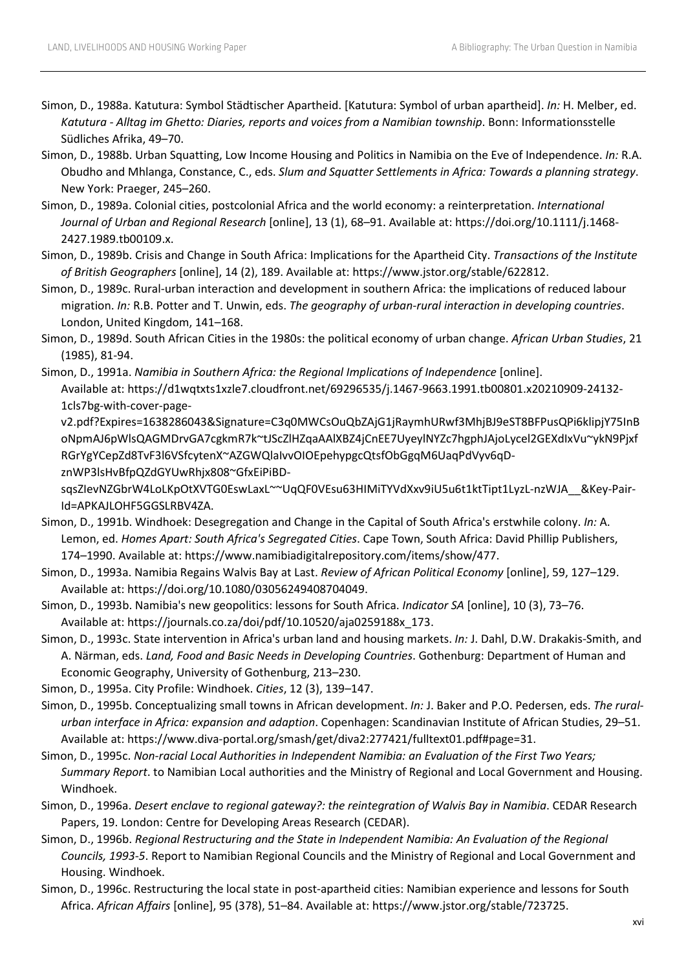- Simon, D., 1988a. Katutura: Symbol Städtischer Apartheid. [Katutura: Symbol of urban apartheid]. *In:* H. Melber, ed. *Katutura - Alltag im Ghetto: Diaries, reports and voices from a Namibian township*. Bonn: Informationsstelle Südliches Afrika, 49–70.
- Simon, D., 1988b. Urban Squatting, Low Income Housing and Politics in Namibia on the Eve of Independence. *In:* R.A. Obudho and Mhlanga, Constance, C., eds. *Slum and Squatter Settlements in Africa: Towards a planning strategy*. New York: Praeger, 245–260.
- Simon, D., 1989a. Colonial cities, postcolonial Africa and the world economy: a reinterpretation. *International Journal of Urban and Regional Research* [online], 13 (1), 68–91. Available at: https://doi.org/10.1111/j.1468- 2427.1989.tb00109.x.
- Simon, D., 1989b. Crisis and Change in South Africa: Implications for the Apartheid City. *Transactions of the Institute of British Geographers* [online], 14 (2), 189. Available at: https://www.jstor.org/stable/622812.
- Simon, D., 1989c. Rural-urban interaction and development in southern Africa: the implications of reduced labour migration. *In:* R.B. Potter and T. Unwin, eds. *The geography of urban-rural interaction in developing countries*. London, United Kingdom, 141–168.
- Simon, D., 1989d. South African Cities in the 1980s: the political economy of urban change. *African Urban Studies*, 21 (1985), 81-94.
- Simon, D., 1991a. *Namibia in Southern Africa: the Regional Implications of Independence* [online]. Available at: https://d1wqtxts1xzle7.cloudfront.net/69296535/j.1467-9663.1991.tb00801.x20210909-24132- 1cls7bg-with-cover-page-

v2.pdf?Expires=1638286043&Signature=C3q0MWCsOuQbZAjG1jRaymhURwf3MhjBJ9eST8BFPusQPi6klipjY75InB oNpmAJ6pWlsQAGMDrvGA7cgkmR7k~tJScZlHZqaAAlXBZ4jCnEE7UyeylNYZc7hgphJAjoLycel2GEXdIxVu~ykN9Pjxf RGrYgYCepZd8TvF3l6VSfcytenX~AZGWQlaIvvOIOEpehypgcQtsfObGgqM6UaqPdVyv6qD-

znWP3lsHvBfpQZdGYUwRhjx808~GfxEiPiBD-

sqsZIevNZGbrW4LoLKpOtXVTG0EswLaxL~~UqQF0VEsu63HIMiTYVdXxv9iU5u6t1ktTipt1LyzL-nzWJA\_\_&Key-Pair-Id=APKAJLOHF5GGSLRBV4ZA.

- Simon, D., 1991b. Windhoek: Desegregation and Change in the Capital of South Africa's erstwhile colony. *In:* A. Lemon, ed. *Homes Apart: South Africa's Segregated Cities*. Cape Town, South Africa: David Phillip Publishers, 174–1990. Available at: https://www.namibiadigitalrepository.com/items/show/477.
- Simon, D., 1993a. Namibia Regains Walvis Bay at Last. *Review of African Political Economy* [online], 59, 127–129. Available at: https://doi.org/10.1080/03056249408704049.
- Simon, D., 1993b. Namibia's new geopolitics: lessons for South Africa. *Indicator SA* [online], 10 (3), 73–76. Available at: https://journals.co.za/doi/pdf/10.10520/aja0259188x\_173.
- Simon, D., 1993c. State intervention in Africa's urban land and housing markets. *In:* J. Dahl, D.W. Drakakis-Smith, and A. Närman, eds. *Land, Food and Basic Needs in Developing Countries*. Gothenburg: Department of Human and Economic Geography, University of Gothenburg, 213–230.
- Simon, D., 1995a. City Profile: Windhoek. *Cities*, 12 (3), 139–147.
- Simon, D., 1995b. Conceptualizing small towns in African development. *In:* J. Baker and P.O. Pedersen, eds. *The ruralurban interface in Africa: expansion and adaption*. Copenhagen: Scandinavian Institute of African Studies, 29–51. Available at: https://www.diva-portal.org/smash/get/diva2:277421/fulltext01.pdf#page=31.
- Simon, D., 1995c. *Non-racial Local Authorities in Independent Namibia: an Evaluation of the First Two Years; Summary Report*. to Namibian Local authorities and the Ministry of Regional and Local Government and Housing. Windhoek.
- Simon, D., 1996a. *Desert enclave to regional gateway?: the reintegration of Walvis Bay in Namibia*. CEDAR Research Papers, 19. London: Centre for Developing Areas Research (CEDAR).
- Simon, D., 1996b. *Regional Restructuring and the State in Independent Namibia: An Evaluation of the Regional Councils, 1993-5*. Report to Namibian Regional Councils and the Ministry of Regional and Local Government and Housing. Windhoek.
- Simon, D., 1996c. Restructuring the local state in post-apartheid cities: Namibian experience and lessons for South Africa. *African Affairs* [online], 95 (378), 51–84. Available at: https://www.jstor.org/stable/723725.